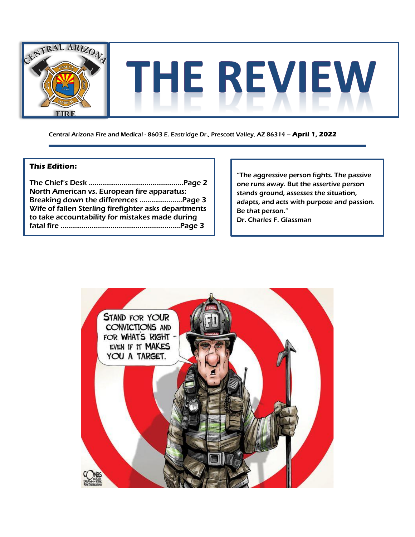

Central Arizona Fire and Medical - 8603 E. Eastridge Dr., Prescott Valley, AZ 86314 – **April 1, 2022**

### **This Edition:**

The Chief's Desk ………………………………..………..Page 2 North American vs. European fire apparatus: Breaking down the differences ………………....Page 3 Wife of fallen Sterling firefighter asks departments to take accountability for mistakes made during fatal fire …………………………..…………………………Page 3

"The aggressive person fights. The passive one runs away. But the assertive person stands ground, assesses the situation, adapts, and acts with purpose and passion. Be that person." Dr. Charles F. Glassman

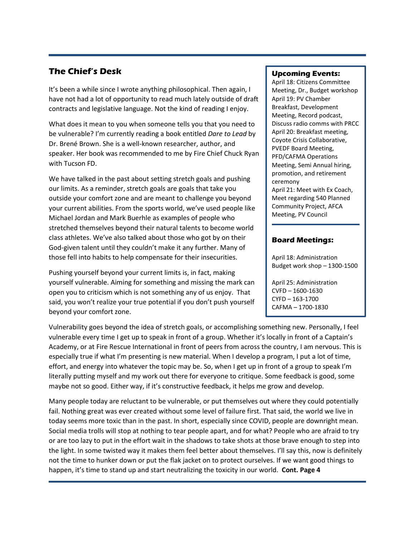## **The Chief's Desk**

It's been a while since I wrote anything philosophical. Then again, I have not had a lot of opportunity to read much lately outside of draft contracts and legislative language. Not the kind of reading I enjoy.

What does it mean to you when someone tells you that you need to be vulnerable? I'm currently reading a book entitled *Dare to Lead* by Dr. Brené Brown. She is a well-known researcher, author, and speaker. Her book was recommended to me by Fire Chief Chuck Ryan with Tucson FD.

We have talked in the past about setting stretch goals and pushing our limits. As a reminder, stretch goals are goals that take you outside your comfort zone and are meant to challenge you beyond your current abilities. From the sports world, we've used people like Michael Jordan and Mark Buerhle as examples of people who stretched themselves beyond their natural talents to become world class athletes. We've also talked about those who got by on their God-given talent until they couldn't make it any further. Many of those fell into habits to help compensate for their insecurities.

Pushing yourself beyond your current limits is, in fact, making yourself vulnerable. Aiming for something and missing the mark can open you to criticism which is not something any of us enjoy. That said, you won't realize your true potential if you don't push yourself beyond your comfort zone.

Vulnerability goes beyond the idea of stretch goals, or accomplishing something new. Personally, I feel vulnerable every time I get up to speak in front of a group. Whether it's locally in front of a Captain's Academy, or at Fire Rescue International in front of peers from across the country, I am nervous. This is especially true if what I'm presenting is new material. When I develop a program, I put a lot of time, effort, and energy into whatever the topic may be. So, when I get up in front of a group to speak I'm literally putting myself and my work out there for everyone to critique. Some feedback is good, some maybe not so good. Either way, if it's constructive feedback, it helps me grow and develop.

Many people today are reluctant to be vulnerable, or put themselves out where they could potentially fail. Nothing great was ever created without some level of failure first. That said, the world we live in today seems more toxic than in the past. In short, especially since COVID, people are downright mean. Social media trolls will stop at nothing to tear people apart, and for what? People who are afraid to try or are too lazy to put in the effort wait in the shadows to take shots at those brave enough to step into the light. In some twisted way it makes them feel better about themselves. I'll say this, now is definitely not the time to hunker down or put the flak jacket on to protect ourselves. If we want good things to happen, it's time to stand up and start neutralizing the toxicity in our world. **Cont. Page 4**

#### **Upcoming Events:**

April 18: Citizens Committee Meeting, Dr., Budget workshop April 19: PV Chamber Breakfast, Development Meeting, Record podcast, Discuss radio comms with PRCC April 20: Breakfast meeting, Coyote Crisis Collaborative, PVEDF Board Meeting, PFD/CAFMA Operations Meeting, Semi Annual hiring, promotion, and retirement ceremony April 21: Meet with Ex Coach, Meet regarding 540 Planned Community Project, AFCA Meeting, PV Council

#### **Board Meetings:**

April 18: Administration Budget work shop – 1300-1500

April 25: Administration CVFD – 1600-1630 CYFD – 163-1700 CAFMA – 1700-1830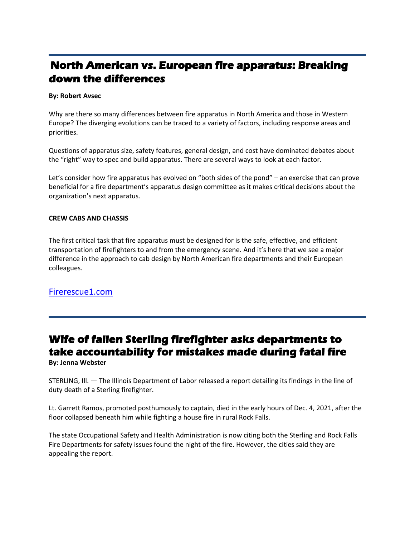# **North American vs. European fire apparatus: Breaking down the differences**

#### **By: Robert Avsec**

Why are there so many differences between fire apparatus in North America and those in Western Europe? The diverging evolutions can be traced to a variety of factors, including response areas and priorities.

Questions of apparatus size, safety features, general design, and cost have dominated debates about the "right" way to spec and build apparatus. There are several ways to look at each factor.

Let's consider how fire apparatus has evolved on "both sides of the pond" – an exercise that can prove beneficial for a fire department's apparatus design committee as it makes critical decisions about the organization's next apparatus.

#### **CREW CABS AND CHASSIS**

The first critical task that fire apparatus must be designed for is the safe, effective, and efficient transportation of firefighters to and from the emergency scene. And it's here that we see a major difference in the approach to cab design by North American fire departments and their European colleagues.

### [Firerescue1.com](https://www.firerescue1.com/fire-products/fire-apparatus/articles/north-american-vs-european-fire-apparatus-breaking-down-the-differences-zsiTPu2O7PZokQVp/?fbclid=IwAR0DoR1BsaYhjeFtv_RHPqJDUXgwAsg6ccZWj4l-cwDP5QLHQ6VMBqRnToc)

# **Wife of fallen Sterling firefighter asks departments to take accountability for mistakes made during fatal fire**

**By: Jenna Webster**

STERLING, Ill. — The Illinois Department of Labor released a report detailing its findings in the line of duty death of a Sterling firefighter.

Lt. Garrett Ramos, promoted posthumously to captain, died in the early hours of Dec. 4, 2021, after the floor collapsed beneath him while fighting a house fire in rural Rock Falls.

The state Occupational Safety and Health Administration is now citing both the Sterling and Rock Falls Fire Departments for safety issues found the night of the fire. However, the cities said they are appealing the report.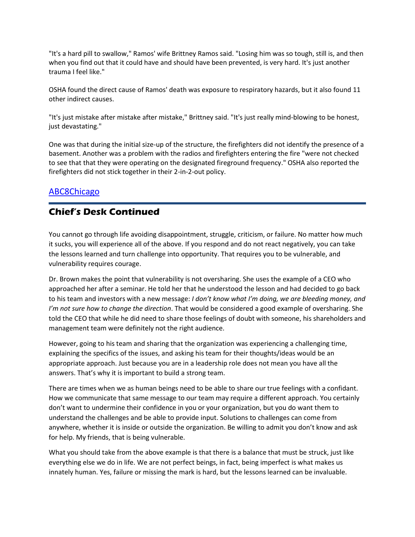"It's a hard pill to swallow," Ramos' wife Brittney Ramos said. "Losing him was so tough, still is, and then when you find out that it could have and should have been prevented, is very hard. It's just another trauma I feel like."

OSHA found the direct cause of Ramos' death was exposure to respiratory hazards, but it also found 11 other indirect causes.

"It's just mistake after mistake after mistake," Brittney said. "It's just really mind-blowing to be honest, just devastating."

One was that during the initial size-up of the structure, the firefighters did not identify the presence of a basement. Another was a problem with the radios and firefighters entering the fire "were not checked to see that that they were operating on the designated fireground frequency." OSHA also reported the firefighters did not stick together in their 2-in-2-out policy.

## [ABC8Chicago](https://www.wqad.com/article/news/local/sterling-fire-department-garrett-ramos-fallen-firefighter-osha-report/526-cb3d1ac7-3d8c-4334-8190-e4aafecd3874)

## **Chief's Desk Continued**

You cannot go through life avoiding disappointment, struggle, criticism, or failure. No matter how much it sucks, you will experience all of the above. If you respond and do not react negatively, you can take the lessons learned and turn challenge into opportunity. That requires you to be vulnerable, and vulnerability requires courage.

Dr. Brown makes the point that vulnerability is not oversharing. She uses the example of a CEO who approached her after a seminar. He told her that he understood the lesson and had decided to go back to his team and investors with a new message: *I don't know what I'm doing, we are bleeding money, and I'm not sure how to change the direction*. That would be considered a good example of oversharing. She told the CEO that while he did need to share those feelings of doubt with someone, his shareholders and management team were definitely not the right audience.

However, going to his team and sharing that the organization was experiencing a challenging time, explaining the specifics of the issues, and asking his team for their thoughts/ideas would be an appropriate approach. Just because you are in a leadership role does not mean you have all the answers. That's why it is important to build a strong team.

There are times when we as human beings need to be able to share our true feelings with a confidant. How we communicate that same message to our team may require a different approach. You certainly don't want to undermine their confidence in you or your organization, but you do want them to understand the challenges and be able to provide input. Solutions to challenges can come from anywhere, whether it is inside or outside the organization. Be willing to admit you don't know and ask for help. My friends, that is being vulnerable.

What you should take from the above example is that there is a balance that must be struck, just like everything else we do in life. We are not perfect beings, in fact, being imperfect is what makes us innately human. Yes, failure or missing the mark is hard, but the lessons learned can be invaluable.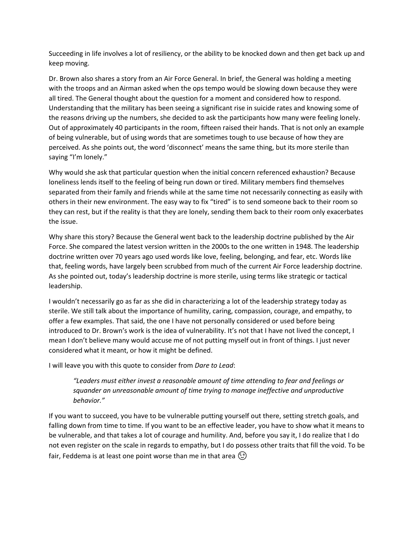Succeeding in life involves a lot of resiliency, or the ability to be knocked down and then get back up and keep moving.

Dr. Brown also shares a story from an Air Force General. In brief, the General was holding a meeting with the troops and an Airman asked when the ops tempo would be slowing down because they were all tired. The General thought about the question for a moment and considered how to respond. Understanding that the military has been seeing a significant rise in suicide rates and knowing some of the reasons driving up the numbers, she decided to ask the participants how many were feeling lonely. Out of approximately 40 participants in the room, fifteen raised their hands. That is not only an example of being vulnerable, but of using words that are sometimes tough to use because of how they are perceived. As she points out, the word 'disconnect' means the same thing, but its more sterile than saying "I'm lonely."

Why would she ask that particular question when the initial concern referenced exhaustion? Because loneliness lends itself to the feeling of being run down or tired. Military members find themselves separated from their family and friends while at the same time not necessarily connecting as easily with others in their new environment. The easy way to fix "tired" is to send someone back to their room so they can rest, but if the reality is that they are lonely, sending them back to their room only exacerbates the issue.

Why share this story? Because the General went back to the leadership doctrine published by the Air Force. She compared the latest version written in the 2000s to the one written in 1948. The leadership doctrine written over 70 years ago used words like love, feeling, belonging, and fear, etc. Words like that, feeling words, have largely been scrubbed from much of the current Air Force leadership doctrine. As she pointed out, today's leadership doctrine is more sterile, using terms like strategic or tactical leadership.

I wouldn't necessarily go as far as she did in characterizing a lot of the leadership strategy today as sterile. We still talk about the importance of humility, caring, compassion, courage, and empathy, to offer a few examples. That said, the one I have not personally considered or used before being introduced to Dr. Brown's work is the idea of vulnerability. It's not that I have not lived the concept, I mean I don't believe many would accuse me of not putting myself out in front of things. I just never considered what it meant, or how it might be defined.

I will leave you with this quote to consider from *Dare to Lead*:

*"Leaders must either invest a reasonable amount of time attending to fear and feelings or squander an unreasonable amount of time trying to manage ineffective and unproductive behavior."* 

If you want to succeed, you have to be vulnerable putting yourself out there, setting stretch goals, and falling down from time to time. If you want to be an effective leader, you have to show what it means to be vulnerable, and that takes a lot of courage and humility. And, before you say it, I do realize that I do not even register on the scale in regards to empathy, but I do possess other traits that fill the void. To be fair, Feddema is at least one point worse than me in that area  $\circled$